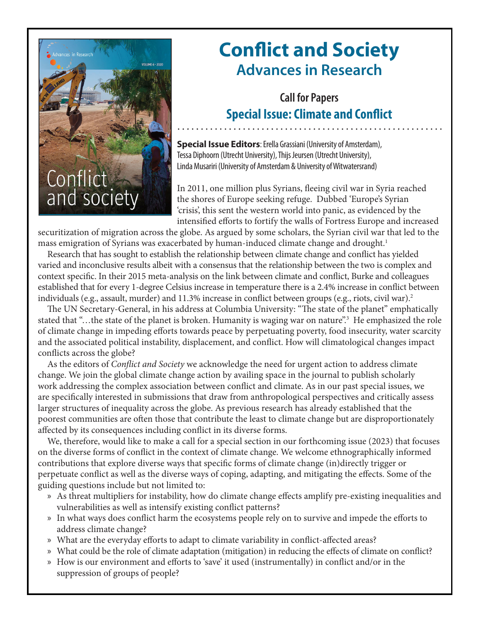

## **Conflict and Society Advances in Research**

## **Call for Papers Special Issue: Climate and Conflict**

**Special Issue Editors**: Erella Grassiani (University of Amsterdam), Tessa Diphoorn (Utrecht University), Thijs Jeursen (Utrecht University), Linda Musariri (University of Amsterdam & University of Witwatersrand)

In 2011, one million plus Syrians, fleeing civil war in Syria reached the shores of Europe seeking refuge. Dubbed 'Europe's Syrian 'crisis', this sent the western world into panic, as evidenced by the intensified efforts to fortify the walls of Fortress Europe and increased

securitization of migration across the globe. As argued by some scholars, the Syrian civil war that led to the mass emigration of Syrians was exacerbated by human-induced climate change and drought.<sup>1</sup>

Research that has sought to establish the relationship between climate change and conflict has yielded varied and inconclusive results albeit with a consensus that the relationship between the two is complex and context specific. In their 2015 meta-analysis on the link between climate and conflict, Burke and colleagues established that for every 1-degree Celsius increase in temperature there is a 2.4% increase in conflict between individuals (e.g., assault, murder) and 11.3% increase in conflict between groups (e.g., riots, civil war).<sup>2</sup>

The UN Secretary-General, in his address at Columbia University: "The state of the planet" emphatically stated that "...the state of the planet is broken. Humanity is waging war on nature".<sup>3</sup> He emphasized the role of climate change in impeding efforts towards peace by perpetuating poverty, food insecurity, water scarcity and the associated political instability, displacement, and conflict. How will climatological changes impact conflicts across the globe?

As the editors of *Conflict and Society* we acknowledge the need for urgent action to address climate change. We join the global climate change action by availing space in the journal to publish scholarly work addressing the complex association between conflict and climate. As in our past special issues, we are specifically interested in submissions that draw from anthropological perspectives and critically assess larger structures of inequality across the globe. As previous research has already established that the poorest communities are often those that contribute the least to climate change but are disproportionately affected by its consequences including conflict in its diverse forms.

We, therefore, would like to make a call for a special section in our forthcoming issue (2023) that focuses on the diverse forms of conflict in the context of climate change. We welcome ethnographically informed contributions that explore diverse ways that specific forms of climate change (in)directly trigger or perpetuate conflict as well as the diverse ways of coping, adapting, and mitigating the effects. Some of the guiding questions include but not limited to:

- » As threat multipliers for instability, how do climate change effects amplify pre-existing inequalities and vulnerabilities as well as intensify existing conflict patterns?
- » In what ways does conflict harm the ecosystems people rely on to survive and impede the efforts to address climate change?
- » What are the everyday efforts to adapt to climate variability in conflict-affected areas?
- » What could be the role of climate adaptation (mitigation) in reducing the effects of climate on conflict?
- » How is our environment and efforts to 'save' it used (instrumentally) in conflict and/or in the suppression of groups of people?